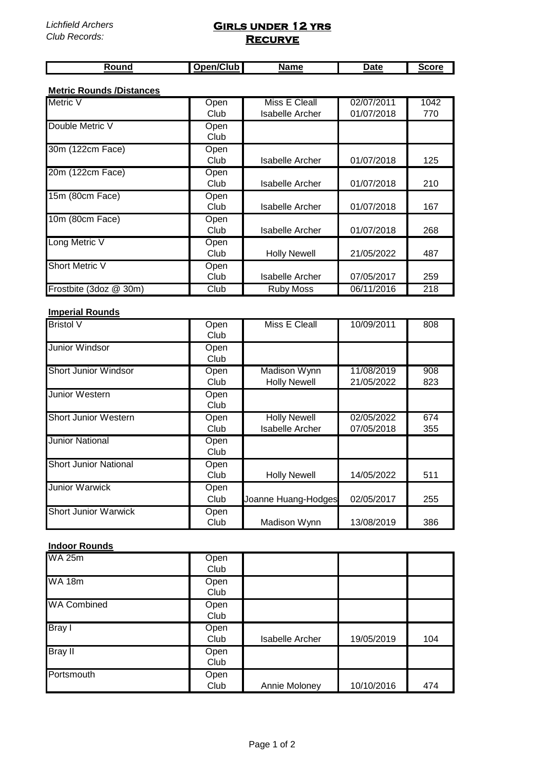## **Girls under 12 yrs Recurve**

| ີີ <u>ລາ໑n/Cl</u> ub ∎<br>$\sim$<br>ouno | <b>Name</b> | Date | irare |
|------------------------------------------|-------------|------|-------|

#### **Metric Rounds /Distances**

| <b>Metric V</b>        | Open | Miss E Cleall       | 02/07/2011 | $\overline{10}$ 42 |
|------------------------|------|---------------------|------------|--------------------|
|                        | Club | Isabelle Archer     | 01/07/2018 | 770                |
| Double Metric V        | Open |                     |            |                    |
|                        | Club |                     |            |                    |
| 30m (122cm Face)       | Open |                     |            |                    |
|                        | Club | Isabelle Archer     | 01/07/2018 | 125                |
| 20m (122cm Face)       | Open |                     |            |                    |
|                        | Club | Isabelle Archer     | 01/07/2018 | 210                |
| 15m (80cm Face)        | Open |                     |            |                    |
|                        | Club | Isabelle Archer     | 01/07/2018 | 167                |
| 10m (80cm Face)        | Open |                     |            |                    |
|                        | Club | Isabelle Archer     | 01/07/2018 | 268                |
| Long Metric V          | Open |                     |            |                    |
|                        | Club | <b>Holly Newell</b> | 21/05/2022 | 487                |
| <b>Short Metric V</b>  | Open |                     |            |                    |
|                        | Club | Isabelle Archer     | 07/05/2017 | 259                |
| Frostbite (3doz @ 30m) | Club | <b>Ruby Moss</b>    | 06/11/2016 | $\overline{218}$   |

### **Imperial Rounds**

| <b>Bristol V</b>             | Open<br>Club | Miss E Cleall                          | 10/09/2011               | 808        |
|------------------------------|--------------|----------------------------------------|--------------------------|------------|
| <b>Junior Windsor</b>        | Open<br>Club |                                        |                          |            |
| <b>Short Junior Windsor</b>  | Open<br>Club | Madison Wynn<br><b>Holly Newell</b>    | 11/08/2019<br>21/05/2022 | 908<br>823 |
| <b>Junior Western</b>        | Open<br>Club |                                        |                          |            |
| <b>Short Junior Western</b>  | Open<br>Club | <b>Holly Newell</b><br>Isabelle Archer | 02/05/2022<br>07/05/2018 | 674<br>355 |
| <b>Junior National</b>       | Open<br>Club |                                        |                          |            |
| <b>Short Junior National</b> | Open<br>Club | <b>Holly Newell</b>                    | 14/05/2022               | 511        |
| <b>Junior Warwick</b>        | Open<br>Club | Joanne Huang-Hodges                    | 02/05/2017               | 255        |
| <b>Short Junior Warwick</b>  | Open<br>Club | Madison Wynn                           | 13/08/2019               | 386        |

### **Indoor Rounds**

| <b>WA 25m</b>              | Open<br>Club |                        |            |     |
|----------------------------|--------------|------------------------|------------|-----|
| $\overline{\text{WA}}$ 18m | Open<br>Club |                        |            |     |
| <b>WA Combined</b>         | Open<br>Club |                        |            |     |
| Bray I                     | Open<br>Club | <b>Isabelle Archer</b> | 19/05/2019 | 104 |
| <b>Bray II</b>             | Open<br>Club |                        |            |     |
| Portsmouth                 | Open<br>Club | Annie Moloney          | 10/10/2016 | 474 |